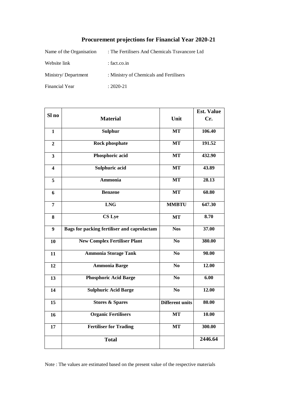# **Procurement projections for Financial Year 2020-21**

| Name of the Organisation | : The Fertilisers And Chemicals Travancore Ltd |
|--------------------------|------------------------------------------------|
| Website link             | $:$ fact.co.in                                 |
| Ministry/Department      | : Ministry of Chemicals and Fertilisers        |
| Financial Year           | $: 2020 - 21$                                  |

|                         |                                                    |                        | <b>Est. Value</b> |
|-------------------------|----------------------------------------------------|------------------------|-------------------|
| Sl no                   | <b>Material</b>                                    | Unit                   | Cr.               |
| $\mathbf{1}$            | <b>Sulphur</b>                                     | <b>MT</b>              | 106.40            |
| $\overline{2}$          | <b>Rock phosphate</b>                              | <b>MT</b>              | 191.52            |
| $\overline{\mathbf{3}}$ | Phosphoric acid                                    | <b>MT</b>              | 432.90            |
| $\overline{\mathbf{4}}$ | Sulphuric acid                                     | <b>MT</b>              | 43.89             |
| 5                       | <b>Ammonia</b>                                     | <b>MT</b>              | 28.13             |
| 6                       | <b>Benzene</b>                                     | <b>MT</b>              | 60.80             |
| $\overline{7}$          | <b>LNG</b>                                         | <b>MMBTU</b>           | 647.30            |
| 8                       | CS Lye                                             | <b>MT</b>              | 8.70              |
| $\boldsymbol{9}$        | <b>Bags for packing fertiliser and caprolactam</b> | <b>Nos</b>             | 37.00             |
| 10                      | <b>New Complex Fertiliser Plant</b>                | N <sub>0</sub>         | 380.00            |
| 11                      | <b>Ammonia Storage Tank</b>                        | N <sub>0</sub>         | 90.00             |
| 12                      | <b>Ammonia Barge</b>                               | N <sub>0</sub>         | 12.00             |
| 13                      | <b>Phosphoric Acid Barge</b>                       | N <sub>0</sub>         | $\overline{6.00}$ |
| 14                      | <b>Sulphuric Acid Barge</b>                        | N <sub>0</sub>         | 12.00             |
| 15                      | <b>Stores &amp; Spares</b>                         | <b>Different units</b> | 80.00             |
| 16                      | <b>Organic Fertilisers</b>                         | <b>MT</b>              | 10.00             |
| 17                      | <b>Fertiliser for Trading</b>                      | <b>MT</b>              | 300.00            |
|                         | <b>Total</b>                                       |                        | 2446.64           |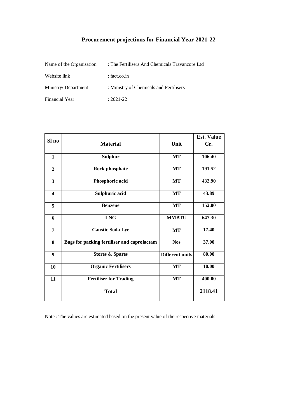## **Procurement projections for Financial Year 2021-22**

| Name of the Organisation | : The Fertilisers And Chemicals Travancore Ltd |
|--------------------------|------------------------------------------------|
| Website link             | $:$ fact.co.in                                 |
| Ministry/Department      | : Ministry of Chemicals and Fertilisers        |
| Financial Year           | $: 2021 - 22$                                  |

| Sl no                   |                                             |                        | <b>Est. Value</b> |
|-------------------------|---------------------------------------------|------------------------|-------------------|
|                         | <b>Material</b>                             | Unit                   | Cr.               |
| $\mathbf{1}$            | <b>Sulphur</b>                              | MT                     | 106.40            |
| $\mathbf{2}$            | <b>Rock phosphate</b>                       | <b>MT</b>              | 191.52            |
| $\mathbf{3}$            | Phosphoric acid                             | <b>MT</b>              | 432.90            |
| $\overline{\mathbf{4}}$ | Sulphuric acid                              | MT                     | 43.89             |
| 5                       | <b>Benzene</b>                              | <b>MT</b>              | 152.00            |
| 6                       | <b>LNG</b>                                  | <b>MMBTU</b>           | 647.30            |
| 7                       | <b>Caustic Soda Lye</b>                     | <b>MT</b>              | 17.40             |
| 8                       | Bags for packing fertiliser and caprolactam | <b>Nos</b>             | 37.00             |
| 9                       | <b>Stores &amp; Spares</b>                  | <b>Different units</b> | 80.00             |
| 10                      | <b>Organic Fertilisers</b>                  | <b>MT</b>              | 10.00             |
| 11                      | <b>Fertiliser for Trading</b>               | MT                     | 400.00            |
|                         | <b>Total</b>                                |                        | 2118.41           |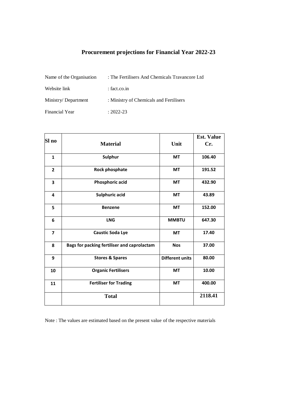## **Procurement projections for Financial Year 2022-23**

| Name of the Organisation | : The Fertilisers And Chemicals Travancore Ltd |
|--------------------------|------------------------------------------------|
| Website link             | $:$ fact.co.in                                 |
| Ministry/Department      | : Ministry of Chemicals and Fertilisers        |
| Financial Year           | $: 2022 - 23$                                  |

|                         |                                             |                        | <b>Est. Value</b> |
|-------------------------|---------------------------------------------|------------------------|-------------------|
| Sl no                   | <b>Material</b>                             | Unit                   | Cr.               |
| $\mathbf{1}$            | Sulphur                                     | <b>MT</b>              | 106.40            |
| $\overline{2}$          | Rock phosphate                              | <b>MT</b>              | 191.52            |
| 3                       | <b>Phosphoric acid</b>                      | <b>MT</b>              | 432.90            |
| 4                       | <b>Sulphuric acid</b>                       | <b>MT</b>              | 43.89             |
| 5                       | <b>Benzene</b>                              | <b>MT</b>              | 152.00            |
| 6                       | <b>LNG</b>                                  | <b>MMBTU</b>           | 647.30            |
| $\overline{\mathbf{z}}$ | <b>Caustic Soda Lye</b>                     | <b>MT</b>              | 17.40             |
| 8                       | Bags for packing fertiliser and caprolactam | <b>Nos</b>             | 37.00             |
| 9                       | <b>Stores &amp; Spares</b>                  | <b>Different units</b> | 80.00             |
| 10                      | <b>Organic Fertilisers</b>                  | <b>MT</b>              | 10.00             |
| 11                      | <b>Fertiliser for Trading</b>               | <b>MT</b>              | 400.00            |
|                         | <b>Total</b>                                |                        | 2118.41           |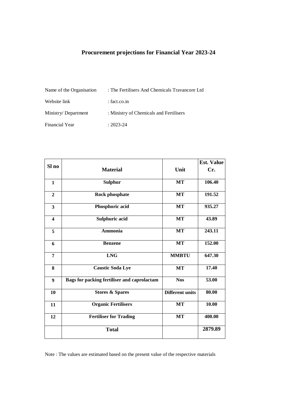## **Procurement projections for Financial Year 2023-24**

| Name of the Organisation | : The Fertilisers And Chemicals Travancore Ltd |
|--------------------------|------------------------------------------------|
| Website link             | $:$ fact.co.in                                 |
| Ministry/Department      | : Ministry of Chemicals and Fertilisers        |
| Financial Year           | $: 2023 - 24$                                  |

|                         |                                             |                        | <b>Est. Value</b> |
|-------------------------|---------------------------------------------|------------------------|-------------------|
| Sl no                   | <b>Material</b>                             | Unit                   | Cr.               |
| $\mathbf{1}$            | <b>Sulphur</b>                              | MT                     | 106.40            |
| $\overline{2}$          | Rock phosphate                              | <b>MT</b>              | 191.52            |
| $\overline{\mathbf{3}}$ | Phosphoric acid                             | <b>MT</b>              | 935.27            |
| $\overline{\mathbf{4}}$ | Sulphuric acid                              | <b>MT</b>              | 43.89             |
| 5                       | <b>Ammonia</b>                              | <b>MT</b>              | 243.11            |
| 6                       | <b>Benzene</b>                              | <b>MT</b>              | 152.00            |
| 7                       | <b>LNG</b>                                  | <b>MMBTU</b>           | 647.30            |
| 8                       | <b>Caustic Soda Lye</b>                     | MT                     | 17.40             |
| 9                       | Bags for packing fertiliser and caprolactam | <b>Nos</b>             | 53.00             |
| 10                      | <b>Stores &amp; Spares</b>                  | <b>Different units</b> | 80.00             |
| 11                      | <b>Organic Fertilisers</b>                  | MT                     | 10.00             |
| 12                      | <b>Fertiliser for Trading</b>               | <b>MT</b>              | 400.00            |
|                         | <b>Total</b>                                |                        | 2879.89           |